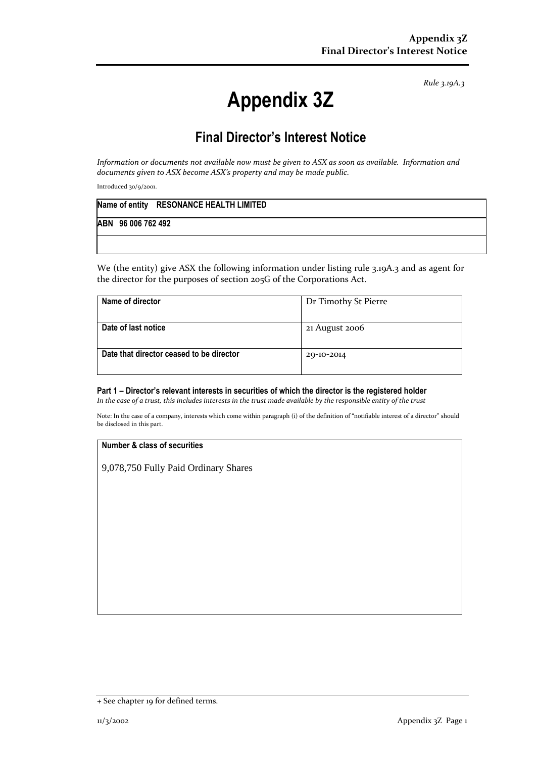*Rule 3.19A.3*

# **Appendix 3Z**

# **Final Director's Interest Notice**

*Information or documents not available now must be given to ASX as soon as available. Information and documents given to ASX become ASX's property and may be made public.*

Introduced 30/9/2001.

|  |                    | Name of entity RESONANCE HEALTH LIMITED |
|--|--------------------|-----------------------------------------|
|  | ABN 96 006 762 492 |                                         |
|  |                    |                                         |

We (the entity) give ASX the following information under listing rule 3.19A.3 and as agent for the director for the purposes of section 205G of the Corporations Act.

| Name of director                         | Dr Timothy St Pierre |
|------------------------------------------|----------------------|
| Date of last notice                      | 21 August 2006       |
| Date that director ceased to be director | 29-10-2014           |

## **Part 1 – Director's relevant interests in securities of which the director is the registered holder**

*In the case of a trust, this includes interests in the trust made available by the responsible entity of the trust*

Note: In the case of a company, interests which come within paragraph (i) of the definition of "notifiable interest of a director" should be disclosed in this part.

#### **Number & class of securities**

9,078,750 Fully Paid Ordinary Shares

<sup>+</sup> See chapter 19 for defined terms.